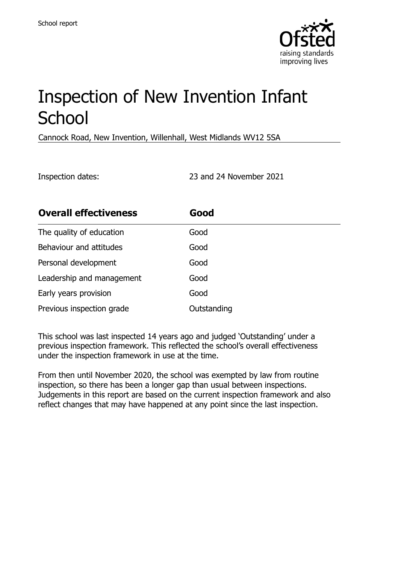

# Inspection of New Invention Infant **School**

Cannock Road, New Invention, Willenhall, West Midlands WV12 5SA

Inspection dates: 23 and 24 November 2021

| <b>Overall effectiveness</b> | Good        |
|------------------------------|-------------|
| The quality of education     | Good        |
| Behaviour and attitudes      | Good        |
| Personal development         | Good        |
| Leadership and management    | Good        |
| Early years provision        | Good        |
| Previous inspection grade    | Outstanding |

This school was last inspected 14 years ago and judged 'Outstanding' under a previous inspection framework. This reflected the school's overall effectiveness under the inspection framework in use at the time.

From then until November 2020, the school was exempted by law from routine inspection, so there has been a longer gap than usual between inspections. Judgements in this report are based on the current inspection framework and also reflect changes that may have happened at any point since the last inspection.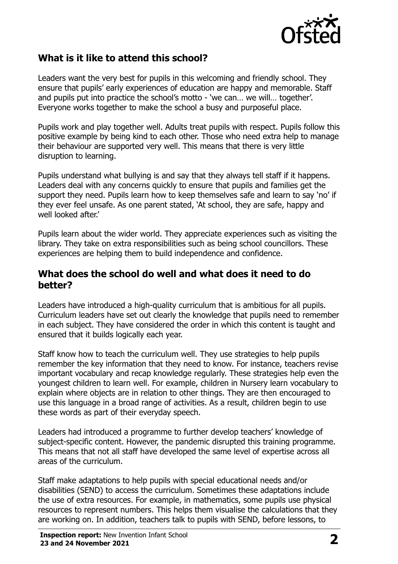

# **What is it like to attend this school?**

Leaders want the very best for pupils in this welcoming and friendly school. They ensure that pupils' early experiences of education are happy and memorable. Staff and pupils put into practice the school's motto - 'we can… we will… together'. Everyone works together to make the school a busy and purposeful place.

Pupils work and play together well. Adults treat pupils with respect. Pupils follow this positive example by being kind to each other. Those who need extra help to manage their behaviour are supported very well. This means that there is very little disruption to learning.

Pupils understand what bullying is and say that they always tell staff if it happens. Leaders deal with any concerns quickly to ensure that pupils and families get the support they need. Pupils learn how to keep themselves safe and learn to say 'no' if they ever feel unsafe. As one parent stated, 'At school, they are safe, happy and well looked after.'

Pupils learn about the wider world. They appreciate experiences such as visiting the library. They take on extra responsibilities such as being school councillors. These experiences are helping them to build independence and confidence.

#### **What does the school do well and what does it need to do better?**

Leaders have introduced a high-quality curriculum that is ambitious for all pupils. Curriculum leaders have set out clearly the knowledge that pupils need to remember in each subject. They have considered the order in which this content is taught and ensured that it builds logically each year.

Staff know how to teach the curriculum well. They use strategies to help pupils remember the key information that they need to know. For instance, teachers revise important vocabulary and recap knowledge regularly. These strategies help even the youngest children to learn well. For example, children in Nursery learn vocabulary to explain where objects are in relation to other things. They are then encouraged to use this language in a broad range of activities. As a result, children begin to use these words as part of their everyday speech.

Leaders had introduced a programme to further develop teachers' knowledge of subject-specific content. However, the pandemic disrupted this training programme. This means that not all staff have developed the same level of expertise across all areas of the curriculum.

Staff make adaptations to help pupils with special educational needs and/or disabilities (SEND) to access the curriculum. Sometimes these adaptations include the use of extra resources. For example, in mathematics, some pupils use physical resources to represent numbers. This helps them visualise the calculations that they are working on. In addition, teachers talk to pupils with SEND, before lessons, to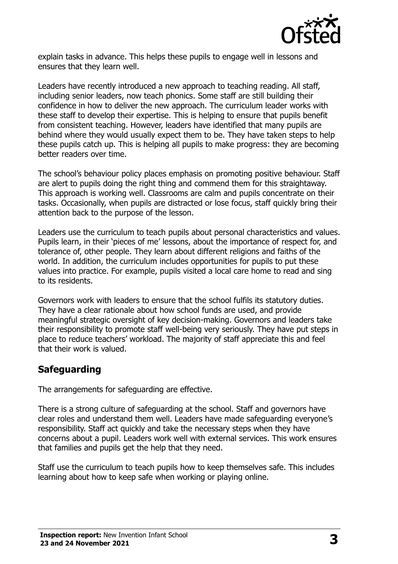

explain tasks in advance. This helps these pupils to engage well in lessons and ensures that they learn well.

Leaders have recently introduced a new approach to teaching reading. All staff, including senior leaders, now teach phonics. Some staff are still building their confidence in how to deliver the new approach. The curriculum leader works with these staff to develop their expertise. This is helping to ensure that pupils benefit from consistent teaching. However, leaders have identified that many pupils are behind where they would usually expect them to be. They have taken steps to help these pupils catch up. This is helping all pupils to make progress: they are becoming better readers over time.

The school's behaviour policy places emphasis on promoting positive behaviour. Staff are alert to pupils doing the right thing and commend them for this straightaway. This approach is working well. Classrooms are calm and pupils concentrate on their tasks. Occasionally, when pupils are distracted or lose focus, staff quickly bring their attention back to the purpose of the lesson.

Leaders use the curriculum to teach pupils about personal characteristics and values. Pupils learn, in their 'pieces of me' lessons, about the importance of respect for, and tolerance of, other people. They learn about different religions and faiths of the world. In addition, the curriculum includes opportunities for pupils to put these values into practice. For example, pupils visited a local care home to read and sing to its residents.

Governors work with leaders to ensure that the school fulfils its statutory duties. They have a clear rationale about how school funds are used, and provide meaningful strategic oversight of key decision-making. Governors and leaders take their responsibility to promote staff well-being very seriously. They have put steps in place to reduce teachers' workload. The majority of staff appreciate this and feel that their work is valued.

#### **Safeguarding**

The arrangements for safeguarding are effective.

There is a strong culture of safeguarding at the school. Staff and governors have clear roles and understand them well. Leaders have made safeguarding everyone's responsibility. Staff act quickly and take the necessary steps when they have concerns about a pupil. Leaders work well with external services. This work ensures that families and pupils get the help that they need.

Staff use the curriculum to teach pupils how to keep themselves safe. This includes learning about how to keep safe when working or playing online.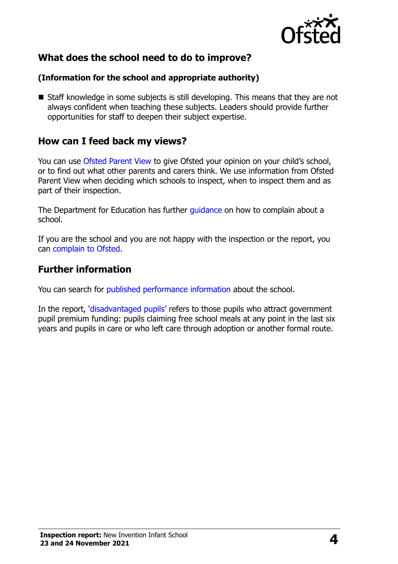

# **What does the school need to do to improve?**

#### **(Information for the school and appropriate authority)**

■ Staff knowledge in some subjects is still developing. This means that they are not always confident when teaching these subjects. Leaders should provide further opportunities for staff to deepen their subject expertise.

### **How can I feed back my views?**

You can use [Ofsted Parent View](http://parentview.ofsted.gov.uk/) to give Ofsted your opinion on your child's school, or to find out what other parents and carers think. We use information from Ofsted Parent View when deciding which schools to inspect, when to inspect them and as part of their inspection.

The Department for Education has further *quidance* on how to complain about a school.

If you are the school and you are not happy with the inspection or the report, you can [complain to Ofsted.](http://www.gov.uk/complain-ofsted-report)

### **Further information**

You can search for [published performance information](http://www.compare-school-performance.service.gov.uk/) about the school.

In the report, '[disadvantaged pupils](http://www.gov.uk/guidance/pupil-premium-information-for-schools-and-alternative-provision-settings)' refers to those pupils who attract government pupil premium funding: pupils claiming free school meals at any point in the last six years and pupils in care or who left care through adoption or another formal route.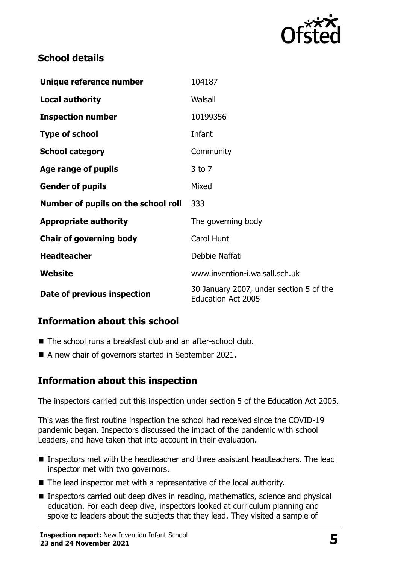

# **School details**

| Unique reference number             | 104187                                                               |
|-------------------------------------|----------------------------------------------------------------------|
| <b>Local authority</b>              | Walsall                                                              |
| <b>Inspection number</b>            | 10199356                                                             |
| <b>Type of school</b>               | Infant                                                               |
| <b>School category</b>              | Community                                                            |
| Age range of pupils                 | $3$ to $7$                                                           |
| <b>Gender of pupils</b>             | Mixed                                                                |
| Number of pupils on the school roll | 333                                                                  |
| <b>Appropriate authority</b>        | The governing body                                                   |
| <b>Chair of governing body</b>      | Carol Hunt                                                           |
| <b>Headteacher</b>                  | Debbie Naffati                                                       |
| Website                             | www.invention-i.walsall.sch.uk                                       |
| Date of previous inspection         | 30 January 2007, under section 5 of the<br><b>Education Act 2005</b> |

# **Information about this school**

- The school runs a breakfast club and an after-school club.
- A new chair of governors started in September 2021.

#### **Information about this inspection**

The inspectors carried out this inspection under section 5 of the Education Act 2005.

This was the first routine inspection the school had received since the COVID-19 pandemic began. Inspectors discussed the impact of the pandemic with school Leaders, and have taken that into account in their evaluation.

- Inspectors met with the headteacher and three assistant headteachers. The lead inspector met with two governors.
- The lead inspector met with a representative of the local authority.
- **Inspectors carried out deep dives in reading, mathematics, science and physical** education. For each deep dive, inspectors looked at curriculum planning and spoke to leaders about the subjects that they lead. They visited a sample of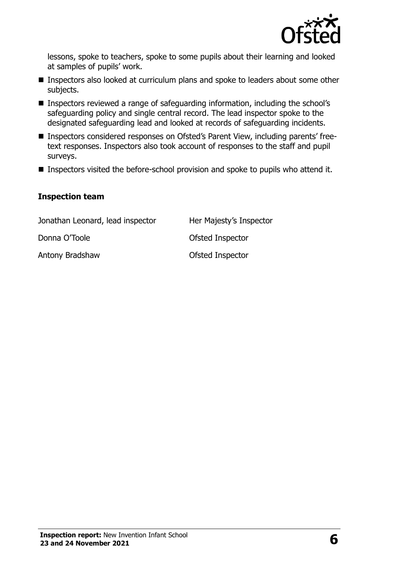

lessons, spoke to teachers, spoke to some pupils about their learning and looked at samples of pupils' work.

- **Inspectors also looked at curriculum plans and spoke to leaders about some other** subjects.
- Inspectors reviewed a range of safeguarding information, including the school's safeguarding policy and single central record. The lead inspector spoke to the designated safeguarding lead and looked at records of safeguarding incidents.
- Inspectors considered responses on Ofsted's Parent View, including parents' freetext responses. Inspectors also took account of responses to the staff and pupil surveys.
- Inspectors visited the before-school provision and spoke to pupils who attend it.

#### **Inspection team**

| Jonathan Leonard, lead inspector | Her Majesty's Inspector |
|----------------------------------|-------------------------|
| Donna O'Toole                    | Ofsted Inspector        |
| Antony Bradshaw                  | Ofsted Inspector        |